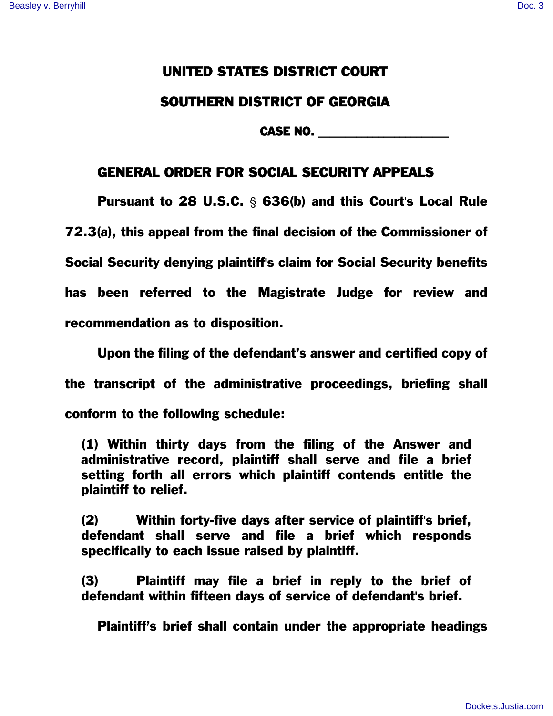## UNITED STATES DISTRICT COURT SOUTHERN DISTRICT OF GEORGIA

CASE NO. \_\_\_\_\_\_\_\_\_\_\_\_\_\_\_\_\_\_\_\_\_\_\_\_

## GENERAL ORDER FOR SOCIAL SECURITY APPEALS

Pursuant to 28 U.S.C.  $\frac{1}{2}$  636(b) and this Court's Local Rule 72.3(a), this appeal from the final decision of the Commissioner of Social Security denying plaintiff's claim for Social Security benefits has been referred to the Magistrate Judge for review and recommendation as to disposition.

Upon the filing of the defendant's answer and certified copy of the transcript of the administrative proceedings, briefing shall conform to the following schedule:

(1) Within thirty days from the filing of the Answer and administrative record, plaintiff shall serve and file a brief setting forth all errors which plaintiff contends entitle the plaintiff to relief.

(2) Within forty-five days after service of plaintiff's brief, defendant shall serve and file a brief which responds specifically to each issue raised by plaintiff.

(3) Plaintiff may file a brief in reply to the brief of defendant within fifteen days of service of defendant's brief.

Plaintiff's brief shall contain under the appropriate headings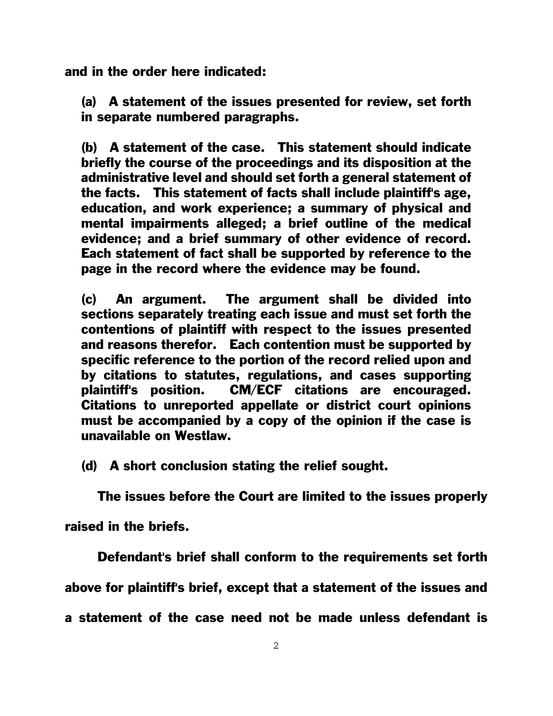and in the order here indicated:

(a) A statement of the issues presented for review, set forth in separate numbered paragraphs.

(b) A statement of the case. This statement should indicate briefly the course of the proceedings and its disposition at the administrative level and should set forth a general statement of the facts. This statement of facts shall include plaintiff's age, education, and work experience; a summary of physical and mental impairments alleged; a brief outline of the medical evidence; and a brief summary of other evidence of record. Each statement of fact shall be supported by reference to the page in the record where the evidence may be found.

(c) An argument. The argument shall be divided into sections separately treating each issue and must set forth the contentions of plaintiff with respect to the issues presented and reasons therefor. Each contention must be supported by specific reference to the portion of the record relied upon and by citations to statutes, regulations, and cases supporting plaintiff's position. CM/ECF citations are encouraged. Citations to unreported appellate or district court opinions must be accompanied by a copy of the opinion if the case is unavailable on Westlaw.

(d) A short conclusion stating the relief sought.

The issues before the Court are limited to the issues properly

raised in the briefs.

Defendant's brief shall conform to the requirements set forth

above for plaintiff's brief, except that a statement of the issues and

a statement of the case need not be made unless defendant is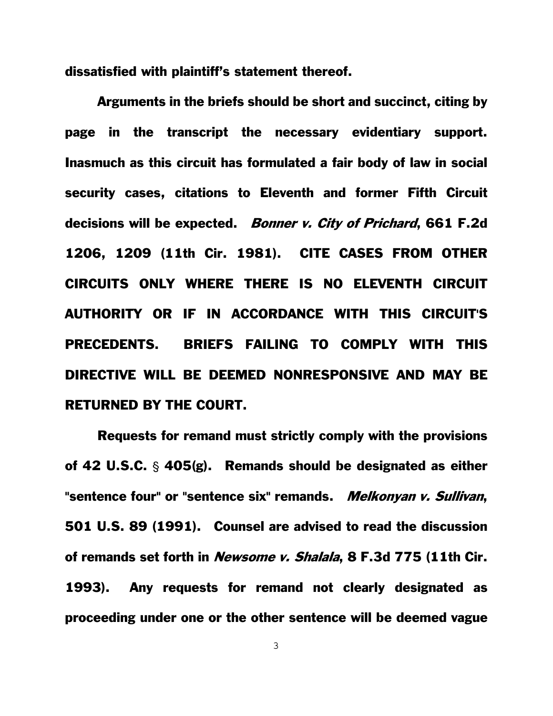dissatisfied with plaintiff's statement thereof.

Arguments in the briefs should be short and succinct, citing by page in the transcript the necessary evidentiary support. Inasmuch as this circuit has formulated a fair body of law in social security cases, citations to Eleventh and former Fifth Circuit decisions will be expected. Bonner v. City of Prichard, 661 F.2d 1206, 1209 (11th Cir. 1981). CITE CASES FROM OTHER CIRCUITS ONLY WHERE THERE IS NO ELEVENTH CIRCUIT AUTHORITY OR IF IN ACCORDANCE WITH THIS CIRCUIT'S PRECEDENTS. BRIEFS FAILING TO COMPLY WITH THIS DIRECTIVE WILL BE DEEMED NONRESPONSIVE AND MAY BE RETURNED BY THE COURT.

Requests for remand must strictly comply with the provisions of 42 U.S.C.  $\frac{6}{5}$  405(g). Remands should be designated as either "sentence four" or "sentence six" remands. Melkonyan v. Sullivan, 501 U.S. 89 (1991). Counsel are advised to read the discussion of remands set forth in Newsome v. Shalala, 8 F.3d 775 (11th Cir. 1993). Any requests for remand not clearly designated as proceeding under one or the other sentence will be deemed vague